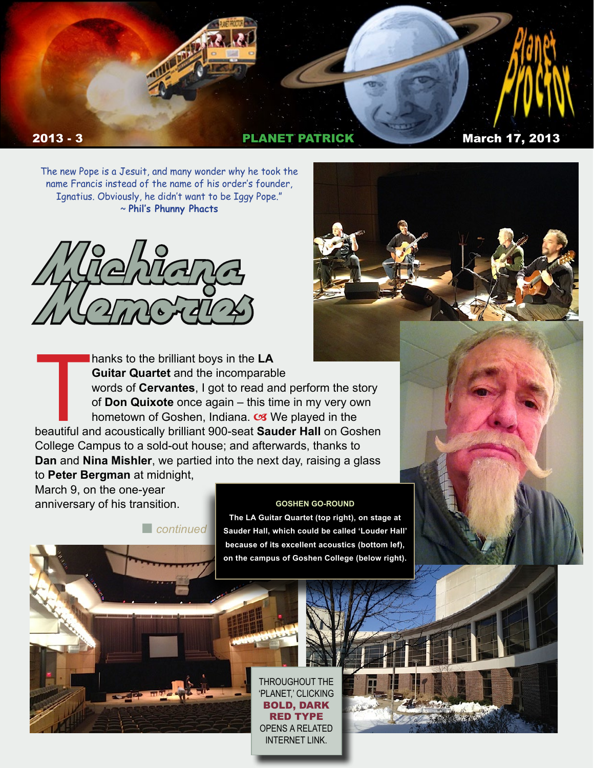

The new Pope is a Jesuit, and many wonder why he took the name Francis instead of the name of his order's founder, Ignatius. Obviously, he didn't want to be Iggy Pope." ~ **Phil's Phunny Phacts**



T beautiful and acoustically brilliant 900-seat **Sauder Hall** on Goshen hanks to the brilliant boys in the **LA Guitar Quartet** and the incomparable words of **Cervantes**, I got to read and perform the story of **Don Quixote** once again – this time in my very own hometown of Goshen, Indiana.  $\alpha$  We played in the College Campus to a sold-out house; and afterwards, thanks to **Dan** and **Nina Mishler**, we partied into the next day, raising a glass to **Peter Bergman** at midnight,

**n** *continued* 

March 9, on the one-year anniversary of his transition.

**The LA Guitar Quartet (top right), on stage at** 

**Sauder Hall, which could be called 'Louder Hall' because of its excellent acoustics (bottom lef), on the campus of Goshen College (below right).** 

**GOSHEN GO-ROUND**

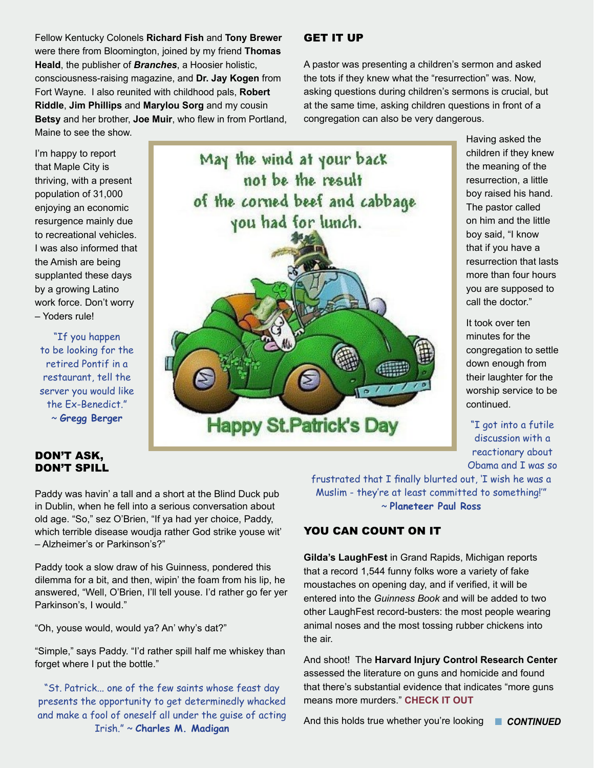Fellow Kentucky Colonels **Richard Fish** and **Tony Brewer** were there from Bloomington, joined by my friend **Thomas Heald**, the publisher of *Branches*, a Hoosier holistic, consciousness-raising magazine, and **Dr. Jay Kogen** from Fort Wayne. I also reunited with childhood pals, **Robert Riddle**, **Jim Phillips** and **Marylou Sorg** and my cousin **Betsy** and her brother, **Joe Muir**, who flew in from Portland, Maine to see the show.

I'm happy to report that Maple City is thriving, with a present population of 31,000

enjoying an economic resurgence mainly due to recreational vehicles. I was also informed that the Amish are being supplanted these days by a growing Latino work force. Don't worry – Yoders rule!

"If you happen to be looking for the retired Pontif in a restaurant, tell the server you would like the Ex-Benedict." ~ **Gregg Berger**

# DON'T ASK, DON'T SPILL

May the wind at your back not be the result of the corned beef and cabbage you had for lunch. **Happy St.Patrick's Day** 

Paddy was havin' a tall and a short at the Blind Duck pub in Dublin, when he fell into a serious conversation about old age. "So," sez O'Brien, "If ya had yer choice, Paddy, which terrible disease woudja rather God strike youse wit' – Alzheimer's or Parkinson's?"

Paddy took a slow draw of his Guinness, pondered this dilemma for a bit, and then, wipin' the foam from his lip, he answered, "Well, O'Brien, I'll tell youse. I'd rather go fer yer Parkinson's, I would."

"Oh, youse would, would ya? An' why's dat?"

"Simple," says Paddy. "I'd rather spill half me whiskey than forget where I put the bottle."

"St. Patrick... one of the few saints whose feast day presents the opportunity to get determinedly whacked and make a fool of oneself all under the guise of acting Irish." ~ **Charles M. Madigan**

# GET IT UP

A pastor was presenting a children's sermon and asked the tots if they knew what the "resurrection" was. Now, asking questions during children's sermons is crucial, but at the same time, asking children questions in front of a congregation can also be very dangerous.

> Having asked the children if they knew the meaning of the resurrection, a little boy raised his hand. The pastor called on him and the little boy said, "I know that if you have a resurrection that lasts more than four hours you are supposed to call the doctor."

> It took over ten minutes for the congregation to settle down enough from their laughter for the worship service to be continued.

"I got into a futile discussion with a reactionary about Obama and I was so

frustrated that I finally blurted out, 'I wish he was a Muslim - they're at least committed to something!'" ~ **Planeteer Paul Ross**

# YOU CAN COUNT ON IT

**Gilda's LaughFest** in Grand Rapids, Michigan reports that a record 1,544 funny folks wore a variety of fake moustaches on opening day, and if verified, it will be entered into the *Guinness Book* and will be added to two other LaughFest record-busters: the most people wearing animal noses and the most tossing rubber chickens into the air.

And shoot! The **Harvard Injury Control Research Center** assessed the literature on guns and homicide and found that there's substantial evidence that indicates "more guns means more murders." **[CHECK IT OUT](http://www.washingtonpost.com/blogs/wonkblog/wp/2012/12/14/nine-facts-about-guns-and-mass-shootings-in-the-united-states/)**

And this holds true whether you're looking **n CONTINUED**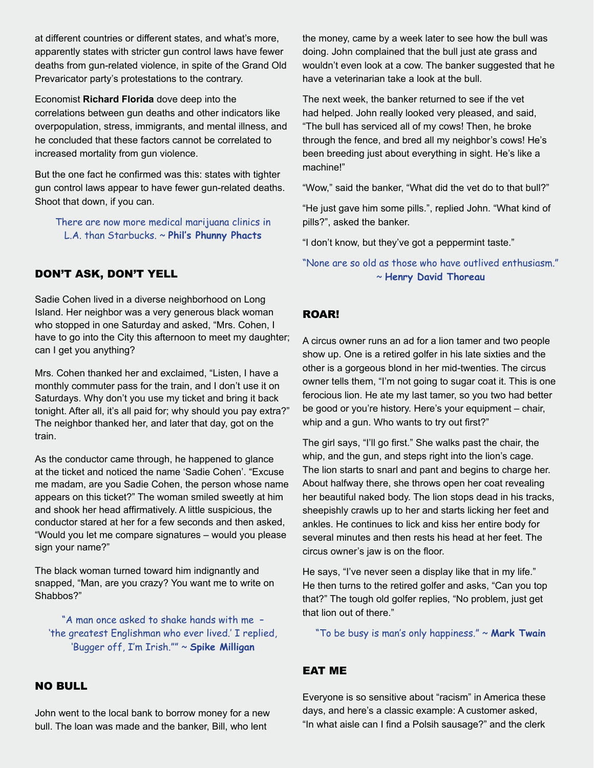at different countries or different states, and what's more, apparently states with stricter gun control laws have fewer deaths from gun-related violence, in spite of the Grand Old Prevaricator party's protestations to the contrary.

Economist **Richard Florida** dove deep into the correlations between gun deaths and other indicators like overpopulation, stress, immigrants, and mental illness, and he concluded that these factors cannot be correlated to increased mortality from gun violence.

But the one fact he confirmed was this: states with tighter gun control laws appear to have fewer gun-related deaths. Shoot that down, if you can.

There are now more medical marijuana clinics in L.A. than Starbucks. ~ **Phil's Phunny Phacts**

# DON'T ASK, DON'T YELL

Sadie Cohen lived in a diverse neighborhood on Long Island. Her neighbor was a very generous black woman who stopped in one Saturday and asked, "Mrs. Cohen, I have to go into the City this afternoon to meet my daughter; can I get you anything?

Mrs. Cohen thanked her and exclaimed, "Listen, I have a monthly commuter pass for the train, and I don't use it on Saturdays. Why don't you use my ticket and bring it back tonight. After all, it's all paid for; why should you pay extra?" The neighbor thanked her, and later that day, got on the train.

As the conductor came through, he happened to glance at the ticket and noticed the name 'Sadie Cohen'. "Excuse me madam, are you Sadie Cohen, the person whose name appears on this ticket?" The woman smiled sweetly at him and shook her head affirmatively. A little suspicious, the conductor stared at her for a few seconds and then asked, "Would you let me compare signatures – would you please sign your name?"

The black woman turned toward him indignantly and snapped, "Man, are you crazy? You want me to write on Shabbos?"

"A man once asked to shake hands with me – 'the greatest Englishman who ever lived.' I replied, 'Bugger off, I'm Irish."" ~ **Spike Milligan**

### NO BULL

John went to the local bank to borrow money for a new bull. The loan was made and the banker, Bill, who lent

the money, came by a week later to see how the bull was doing. John complained that the bull just ate grass and wouldn't even look at a cow. The banker suggested that he have a veterinarian take a look at the bull.

The next week, the banker returned to see if the vet had helped. John really looked very pleased, and said, "The bull has serviced all of my cows! Then, he broke through the fence, and bred all my neighbor's cows! He's been breeding just about everything in sight. He's like a machine!"

"Wow," said the banker, "What did the vet do to that bull?"

"He just gave him some pills.", replied John. "What kind of pills?", asked the banker.

"I don't know, but they've got a peppermint taste."

### "None are so old as those who have outlived enthusiasm." ~ **Henry David Thoreau**

### ROAR!

A circus owner runs an ad for a lion tamer and two people show up. One is a retired golfer in his late sixties and the other is a gorgeous blond in her mid-twenties. The circus owner tells them, "I'm not going to sugar coat it. This is one ferocious lion. He ate my last tamer, so you two had better be good or you're history. Here's your equipment – chair, whip and a gun. Who wants to try out first?"

The girl says, "I'll go first." She walks past the chair, the whip, and the gun, and steps right into the lion's cage. The lion starts to snarl and pant and begins to charge her. About halfway there, she throws open her coat revealing her beautiful naked body. The lion stops dead in his tracks, sheepishly crawls up to her and starts licking her feet and ankles. He continues to lick and kiss her entire body for several minutes and then rests his head at her feet. The circus owner's jaw is on the floor.

He says, "I've never seen a display like that in my life." He then turns to the retired golfer and asks, "Can you top that?" The tough old golfer replies, "No problem, just get that lion out of there."

"To be busy is man's only happiness." ~ **Mark Twain**

#### EAT ME

Everyone is so sensitive about "racism" in America these days, and here's a classic example: A customer asked, "In what aisle can I find a Polsih sausage?" and the clerk